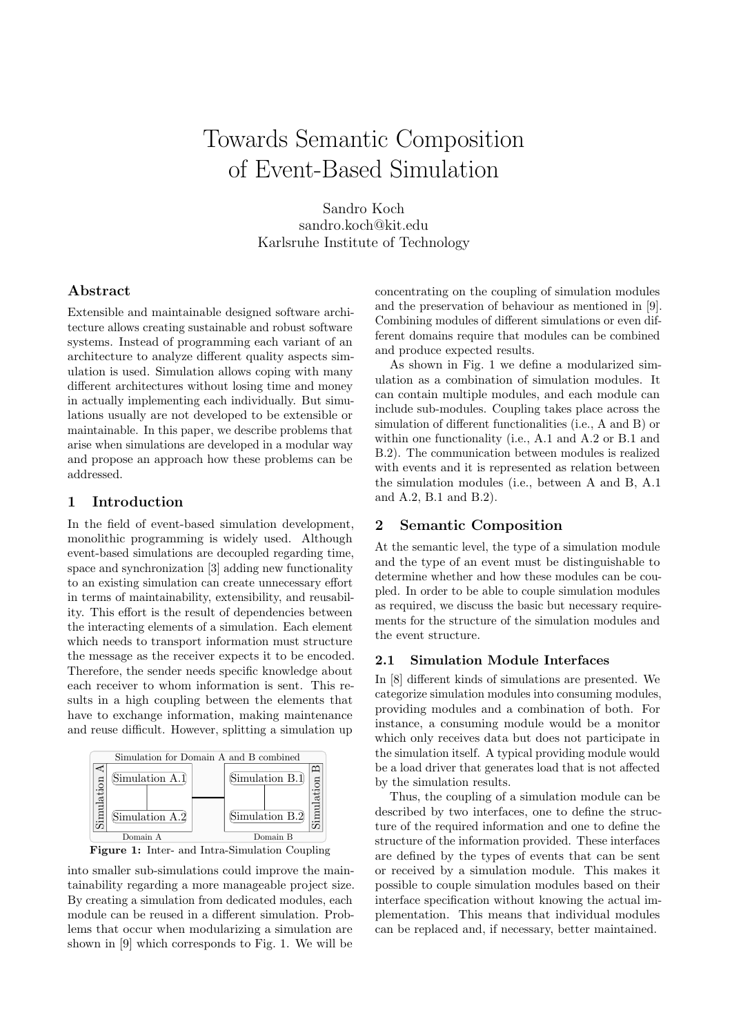# Towards Semantic Composition of Event-Based Simulation

Sandro Koch sandro.koch@kit.edu Karlsruhe Institute of Technology

## Abstract

Extensible and maintainable designed software architecture allows creating sustainable and robust software systems. Instead of programming each variant of an architecture to analyze different quality aspects simulation is used. Simulation allows coping with many different architectures without losing time and money in actually implementing each individually. But simulations usually are not developed to be extensible or maintainable. In this paper, we describe problems that arise when simulations are developed in a modular way and propose an approach how these problems can be addressed.

## 1 Introduction

In the field of event-based simulation development, monolithic programming is widely used. Although event-based simulations are decoupled regarding time, space and synchronization [\[3\]](#page-1-0) adding new functionality to an existing simulation can create unnecessary effort in terms of maintainability, extensibility, and reusability. This effort is the result of dependencies between the interacting elements of a simulation. Each element which needs to transport information must structure the message as the receiver expects it to be encoded. Therefore, the sender needs specific knowledge about each receiver to whom information is sent. This results in a high coupling between the elements that have to exchange information, making maintenance and reuse difficult. However, splitting a simulation up

<span id="page-0-0"></span>



into smaller sub-simulations could improve the maintainability regarding a more manageable project size. By creating a simulation from dedicated modules, each module can be reused in a different simulation. Problems that occur when modularizing a simulation are shown in [\[9\]](#page-1-1) which corresponds to Fig. [1.](#page-0-0) We will be

concentrating on the coupling of simulation modules and the preservation of behaviour as mentioned in [\[9\]](#page-1-1). Combining modules of different simulations or even different domains require that modules can be combined and produce expected results.

As shown in Fig. [1](#page-0-0) we define a modularized simulation as a combination of simulation modules. It can contain multiple modules, and each module can include sub-modules. Coupling takes place across the simulation of different functionalities (i.e., A and B) or within one functionality (i.e., A.1 and A.2 or B.1 and B.2). The communication between modules is realized with events and it is represented as relation between the simulation modules (i.e., between A and B, A.1 and A.2, B.1 and B.2).

#### 2 Semantic Composition

At the semantic level, the type of a simulation module and the type of an event must be distinguishable to determine whether and how these modules can be coupled. In order to be able to couple simulation modules as required, we discuss the basic but necessary requirements for the structure of the simulation modules and the event structure.

## 2.1 Simulation Module Interfaces

In [\[8\]](#page-1-2) different kinds of simulations are presented. We categorize simulation modules into consuming modules, providing modules and a combination of both. For instance, a consuming module would be a monitor which only receives data but does not participate in the simulation itself. A typical providing module would be a load driver that generates load that is not affected by the simulation results.

Thus, the coupling of a simulation module can be described by two interfaces, one to define the structure of the required information and one to define the structure of the information provided. These interfaces are defined by the types of events that can be sent or received by a simulation module. This makes it possible to couple simulation modules based on their interface specification without knowing the actual implementation. This means that individual modules can be replaced and, if necessary, better maintained.